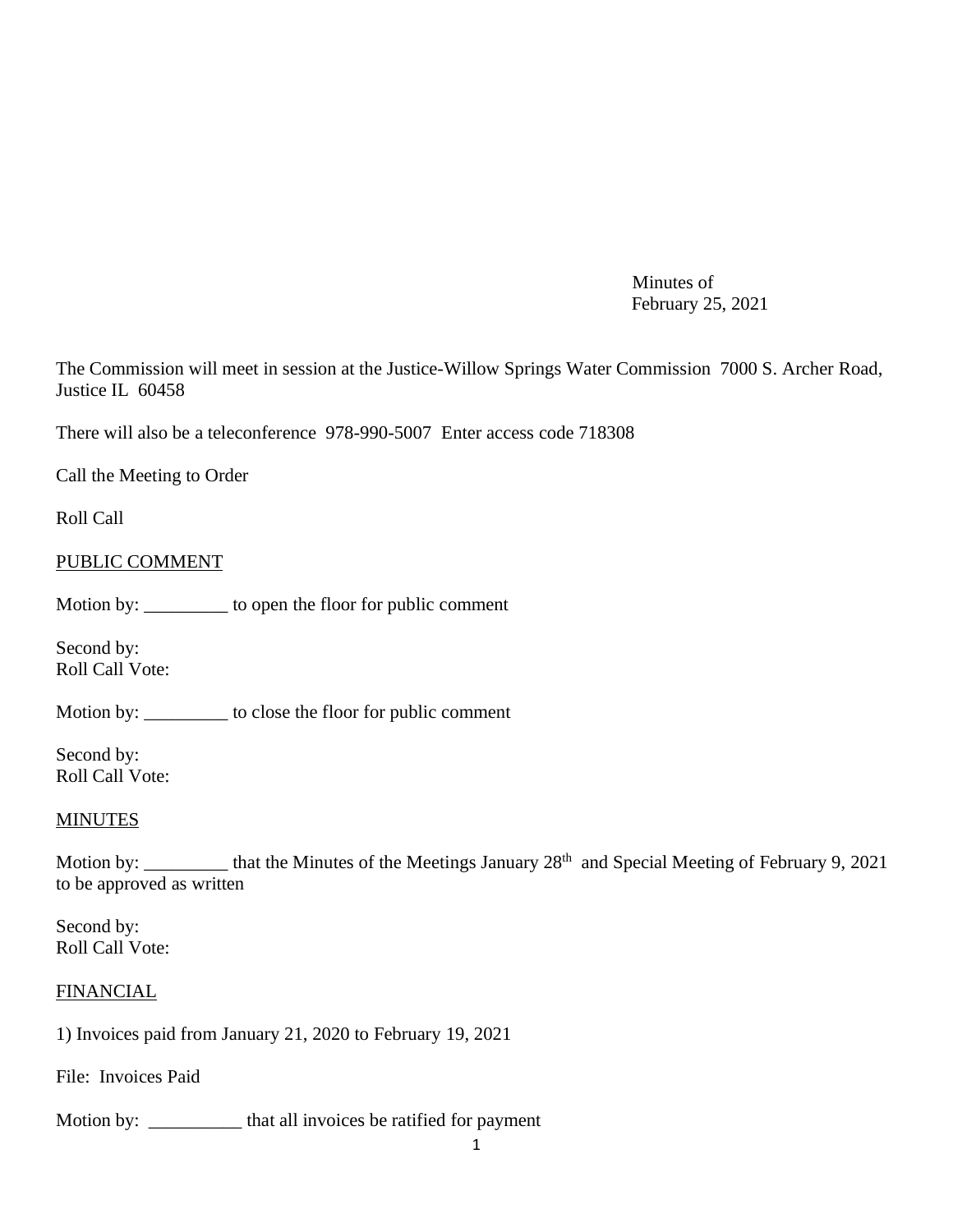Minutes of February 25, 2021

The Commission will meet in session at the Justice-Willow Springs Water Commission 7000 S. Archer Road, Justice IL 60458

There will also be a teleconference 978-990-5007 Enter access code 718308

Call the Meeting to Order

Roll Call

### PUBLIC COMMENT

Motion by: \_\_\_\_\_\_\_\_\_ to open the floor for public comment

Second by: Roll Call Vote:

Motion by: \_\_\_\_\_\_\_\_\_ to close the floor for public comment

Second by: Roll Call Vote:

#### **MINUTES**

Motion by: \_\_\_\_\_\_\_\_\_ that the Minutes of the Meetings January 28<sup>th</sup> and Special Meeting of February 9, 2021 to be approved as written

Second by: Roll Call Vote:

### **FINANCIAL**

1) Invoices paid from January 21, 2020 to February 19, 2021

File: Invoices Paid

Motion by: \_\_\_\_\_\_\_\_\_\_ that all invoices be ratified for payment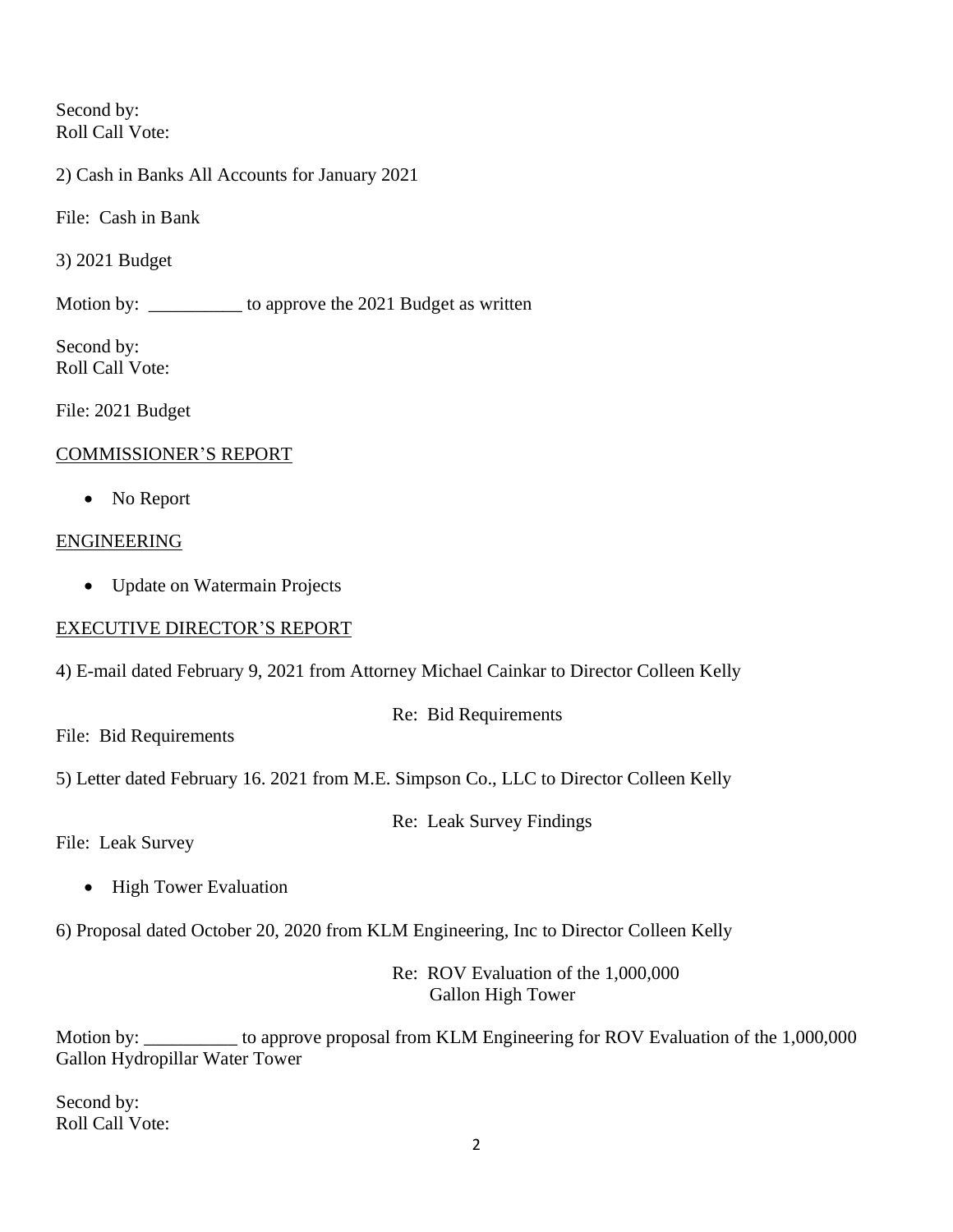Second by: Roll Call Vote:

2) Cash in Banks All Accounts for January 2021

File: Cash in Bank

3) 2021 Budget

Motion by: \_\_\_\_\_\_\_\_\_\_\_ to approve the 2021 Budget as written

Second by: Roll Call Vote:

File: 2021 Budget

# COMMISSIONER'S REPORT

• No Report

### ENGINEERING

• Update on Watermain Projects

# EXECUTIVE DIRECTOR'S REPORT

4) E-mail dated February 9, 2021 from Attorney Michael Cainkar to Director Colleen Kelly

Re: Bid Requirements

File: Bid Requirements

5) Letter dated February 16. 2021 from M.E. Simpson Co., LLC to Director Colleen Kelly

Re: Leak Survey Findings

File: Leak Survey

- High Tower Evaluation
- 6) Proposal dated October 20, 2020 from KLM Engineering, Inc to Director Colleen Kelly

Re: ROV Evaluation of the 1,000,000 Gallon High Tower

Motion by: \_\_\_\_\_\_\_\_\_\_ to approve proposal from KLM Engineering for ROV Evaluation of the 1,000,000 Gallon Hydropillar Water Tower

Second by: Roll Call Vote: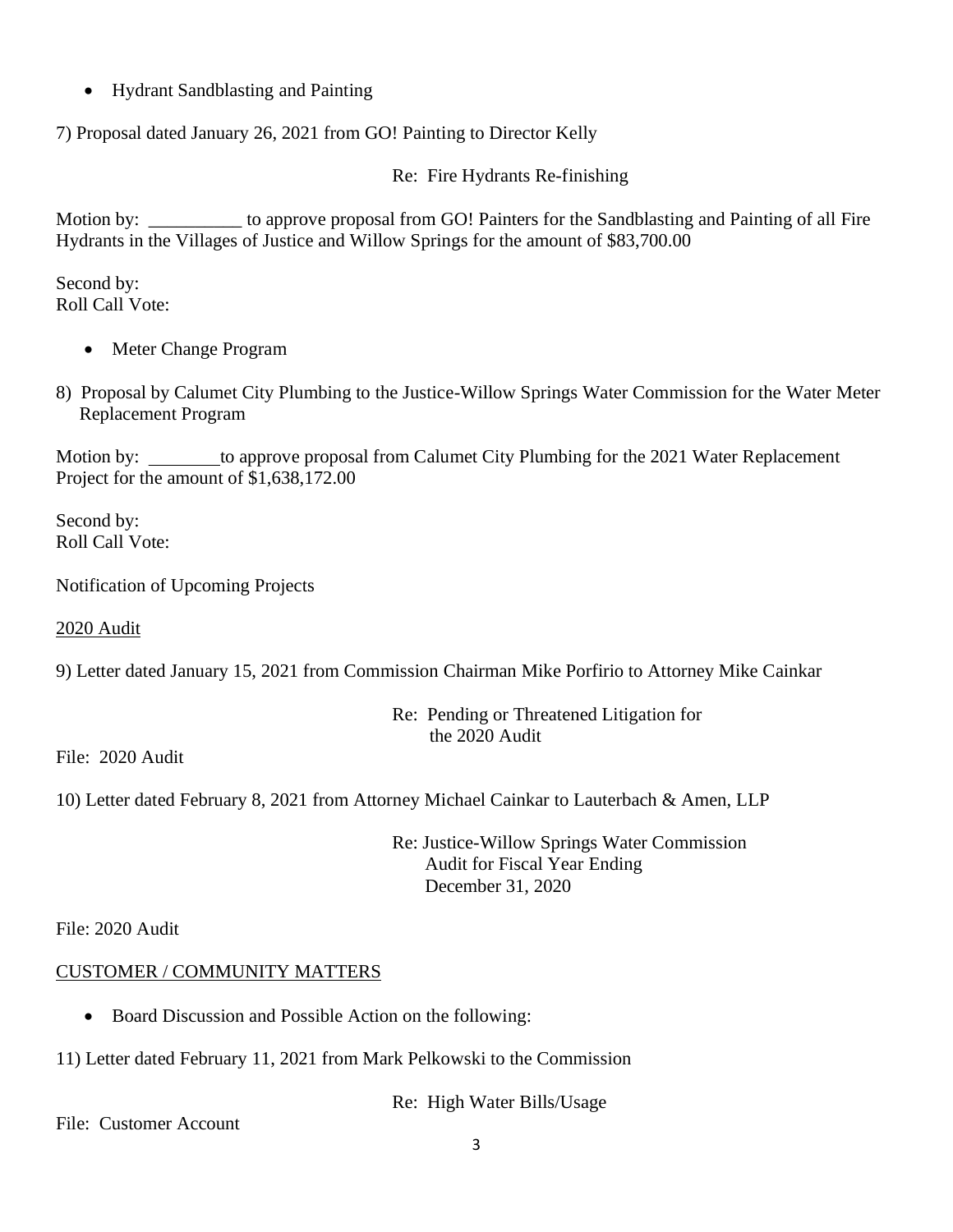• Hydrant Sandblasting and Painting

7) Proposal dated January 26, 2021 from GO! Painting to Director Kelly

Re: Fire Hydrants Re-finishing

Motion by: \_\_\_\_\_\_\_\_\_\_ to approve proposal from GO! Painters for the Sandblasting and Painting of all Fire Hydrants in the Villages of Justice and Willow Springs for the amount of \$83,700.00

Second by: Roll Call Vote:

- Meter Change Program
- 8) Proposal by Calumet City Plumbing to the Justice-Willow Springs Water Commission for the Water Meter Replacement Program

Motion by: to approve proposal from Calumet City Plumbing for the 2021 Water Replacement Project for the amount of \$1,638,172.00

Second by: Roll Call Vote:

Notification of Upcoming Projects

2020 Audit

9) Letter dated January 15, 2021 from Commission Chairman Mike Porfirio to Attorney Mike Cainkar

Re: Pending or Threatened Litigation for the 2020 Audit

File: 2020 Audit

10) Letter dated February 8, 2021 from Attorney Michael Cainkar to Lauterbach & Amen, LLP

Re: Justice-Willow Springs Water Commission Audit for Fiscal Year Ending December 31, 2020

File: 2020 Audit

# CUSTOMER / COMMUNITY MATTERS

- Board Discussion and Possible Action on the following:
- 11) Letter dated February 11, 2021 from Mark Pelkowski to the Commission

Re: High Water Bills/Usage

File: Customer Account